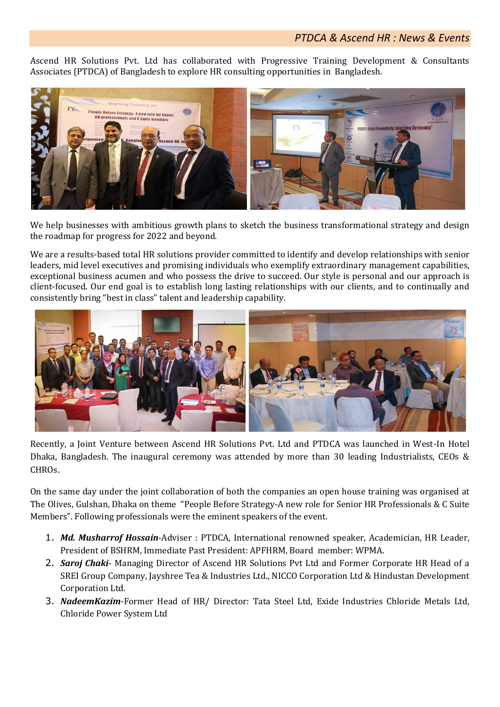Ascend HR Solutions Pvt. Ltd has collaborated with Progressive Training Development & Consultants Associates (PTDCA) of Bangladesh to explore HR consulting opportunities in Bangladesh.



We help businesses with ambitious growth plans to sketch the business transformational strategy and design the roadmap for progress for 2022 and beyond.

We are a results-based total HR solutions provider committed to identify and develop relationships with senior leaders, mid level executives and promising individuals who exemplify extraordinary management capabilities, exceptional business acumen and who possess the drive to succeed. Our style is personal and our approach is client-focused. Our end goal is to establish long lasting relationships with our clients, and to continually and consistently bring "best in class" talent and leadership capability.



Recently, a Joint Venture between Ascend HR Solutions Pvt. Ltd and PTDCA was launched in West-In Hotel Dhaka, Bangladesh. The inaugural ceremony was attended by more than 30 leading Industrialists, CEOs & **CHROs** 

On the same day under the joint collaboration of both the companies an open house training was organised at The Olives, Gulshan, Dhaka on theme "People Before Strategy-A new role for Senior HR Professionals & C Suite Members". Following professionals were the eminent speakers of the event.

- 1. *Md. Musharrof Hossain*-Adviser : PTDCA, International renowned speaker, Academician, HR Leader, President of BSHRM, Immediate Past President: APFHRM, Board member: WPMA.
- 2. *Saroj Chaki* Managing Director of Ascend HR Solutions Pvt Ltd and Former Corporate HR Head of a SREI Group Company, Jayshree Tea & Industries Ltd., NICCO Corporation Ltd & Hindustan Development Corporation Ltd.
- 3. *NadeemKazim*-Former Head of HR/ Director: Tata Steel Ltd, Exide Industries Chloride Metals Ltd, Chloride Power System Ltd